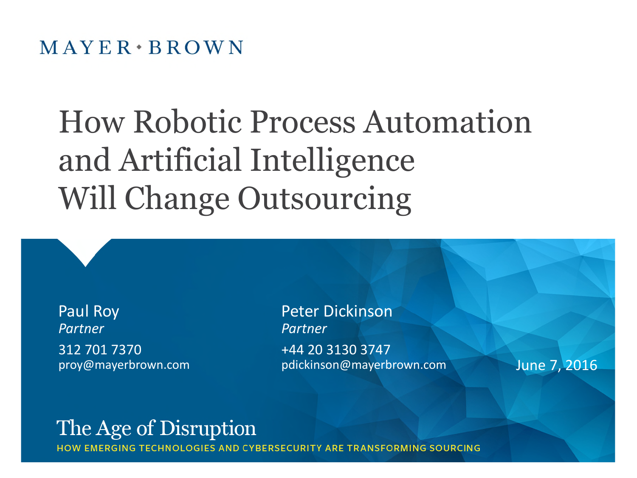## How Robotic Process Automation and Artificial Intelligence Will Change Outsourcing

Paul Roy *Partner* 312 701 7370 proy@mayerbrown.com

Peter Dickinson *Partner* +44 20 3130 3747 pdickinson@mayerbrown.com June 7, 2016

## The Age of Disruption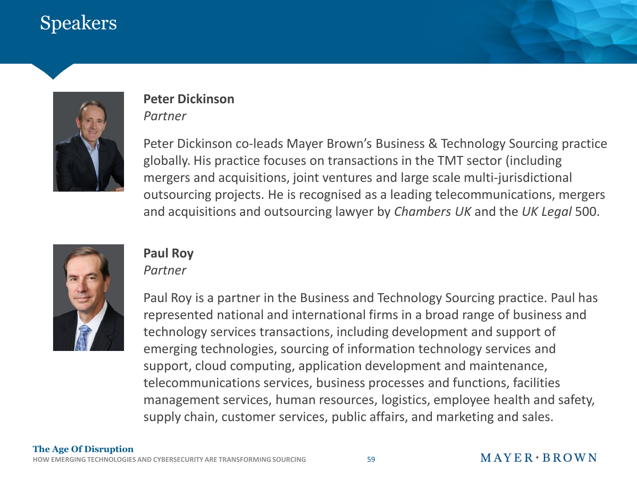## Speakers



#### **Peter Dickinson** *Partner*

Peter Dickinson co-leads Mayer Brown's Business & Technology Sourcing practice globally. His practice focuses on transactions in the TMT sector (including mergers and acquisitions, joint ventures and large scale multi-jurisdictional outsourcing projects. He is recognised as a leading telecommunications, mergers and acquisitions and outsourcing lawyer by *Chambers UK* and the *UK Legal* 500.



#### **Paul Roy**

#### *Partner*

Paul Roy is a partner in the Business and Technology Sourcing practice. Paul has represented national and international firms in a broad range of business and technology services transactions, including development and support of emerging technologies, sourcing of information technology services and support, cloud computing, application development and maintenance, telecommunications services, business processes and functions, facilities management services, human resources, logistics, employee health and safety, supply chain, customer services, public affairs, and marketing and sales.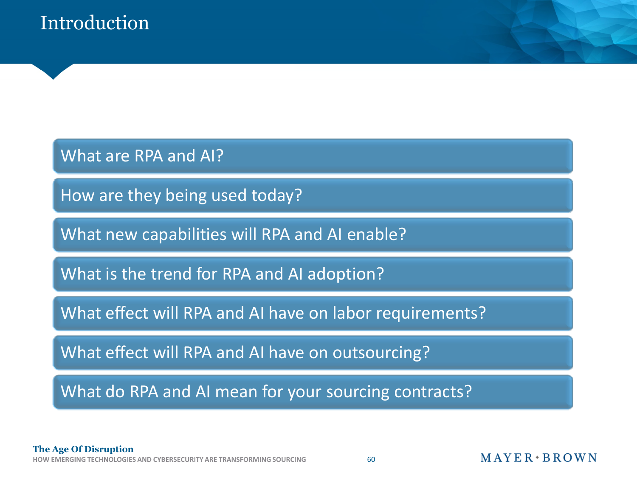What are RPA and AI?

How are they being used today?

What new capabilities will RPA and AI enable?

What is the trend for RPA and AI adoption?

What effect will RPA and AI have on labor requirements?

What effect will RPA and AI have on outsourcing?

What do RPA and AI mean for your sourcing contracts?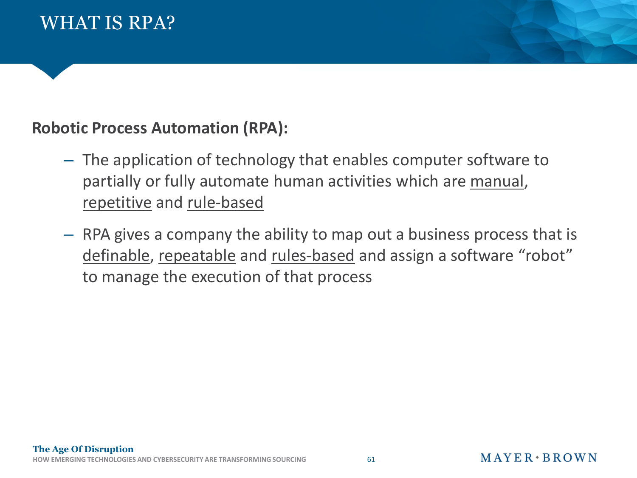## **Robotic Process Automation (RPA):**

- The application of technology that enables computer software to partially or fully automate human activities which are manual, repetitive and rule-based
- RPA gives a company the ability to map out a business process that is definable, repeatable and rules-based and assign a software "robot" to manage the execution of that process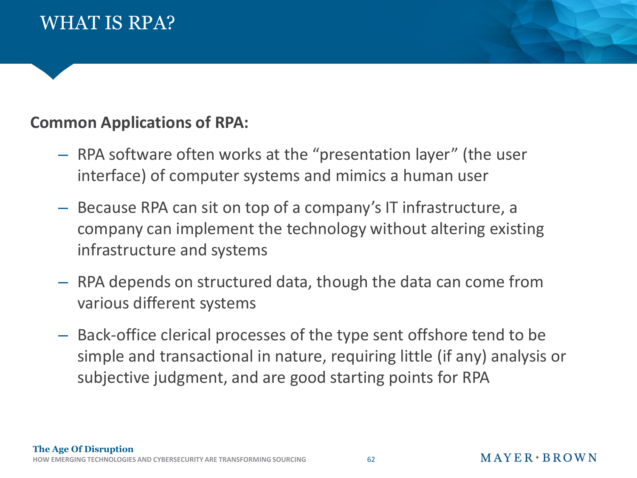### **Common Applications of RPA:**

- RPA software often works at the "presentation layer" (the user interface) of computer systems and mimics a human user
- Because RPA can sit on top of a company's IT infrastructure, a company can implement the technology without altering existing infrastructure and systems
- RPA depends on structured data, though the data can come from various different systems
- Back-office clerical processes of the type sent offshore tend to be simple and transactional in nature, requiring little (if any) analysis or subjective judgment, and are good starting points for RPA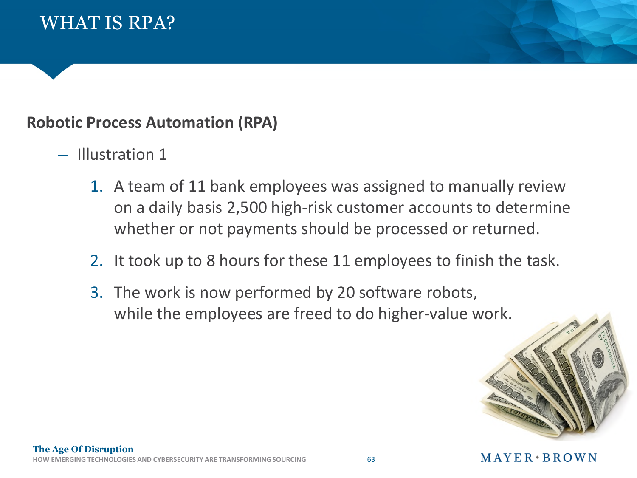#### **Robotic Process Automation (RPA)**

- Illustration 1
	- 1. A team of 11 bank employees was assigned to manually review on a daily basis 2,500 high-risk customer accounts to determine whether or not payments should be processed or returned.
	- 2. It took up to 8 hours for these 11 employees to finish the task.
	- 3. The work is now performed by 20 software robots, while the employees are freed to do higher-value work.



#### $M$  A Y E R  $\cdot$  B R O W N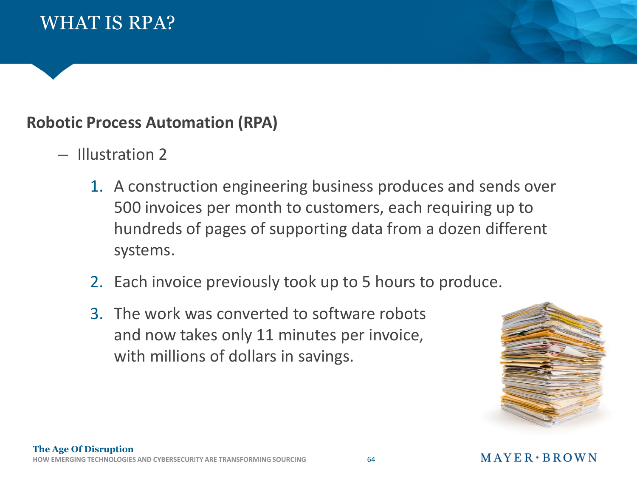### **Robotic Process Automation (RPA)**

- Illustration 2
	- 1. A construction engineering business produces and sends over 500 invoices per month to customers, each requiring up to hundreds of pages of supporting data from a dozen different systems.
	- 2. Each invoice previously took up to 5 hours to produce.
	- 3. The work was converted to software robots and now takes only 11 minutes per invoice, with millions of dollars in savings.

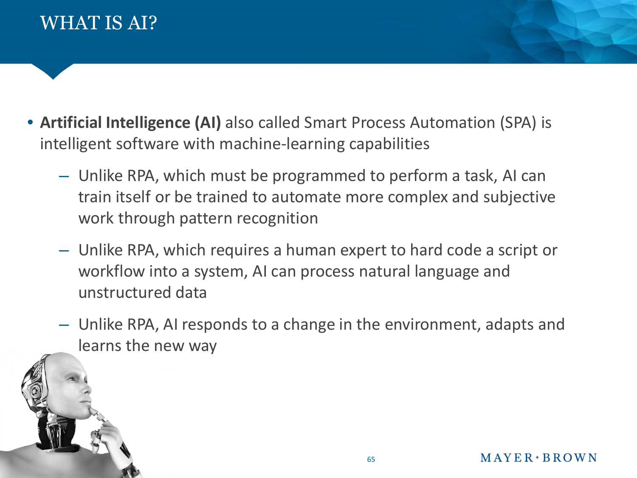

**The Age Of Discussion Age Of Discussion** 

- **Artificial Intelligence (AI)** also called Smart Process Automation (SPA) is intelligent software with machine-learning capabilities
	- Unlike RPA, which must be programmed to perform a task, AI can train itself or be trained to automate more complex and subjective work through pattern recognition
	- Unlike RPA, which requires a human expert to hard code a script or workflow into a system, AI can process natural language and unstructured data
	- Unlike RPA, AI responds to a change in the environment, adapts and learns the new way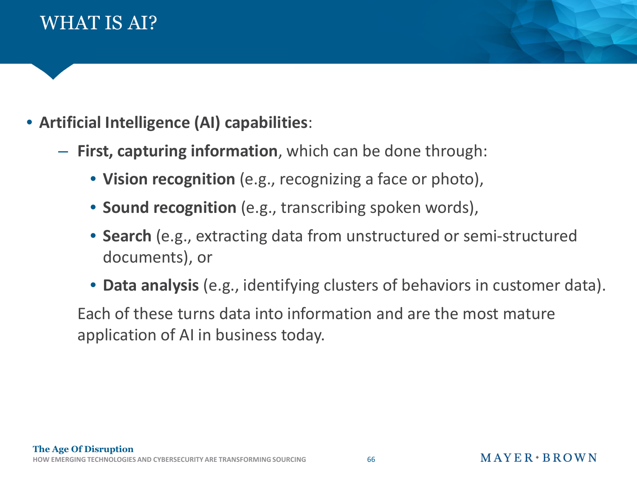



- **First, capturing information**, which can be done through:
	- **Vision recognition** (e.g., recognizing a face or photo),
	- **Sound recognition** (e.g., transcribing spoken words),
	- **Search** (e.g., extracting data from unstructured or semi-structured documents), or
	- **Data analysis** (e.g., identifying clusters of behaviors in customer data).

Each of these turns data into information and are the most mature application of AI in business today.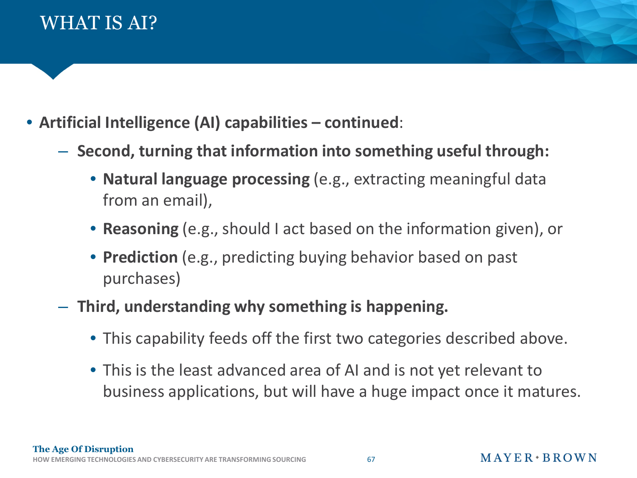

- **Artificial Intelligence (AI) capabilities continued**:
	- **Second, turning that information into something useful through:**
		- **Natural language processing** (e.g., extracting meaningful data from an email),
		- **Reasoning** (e.g., should I act based on the information given), or
		- **Prediction** (e.g., predicting buying behavior based on past purchases)
	- **Third, understanding why something is happening.**
		- This capability feeds off the first two categories described above.
		- This is the least advanced area of AI and is not yet relevant to business applications, but will have a huge impact once it matures.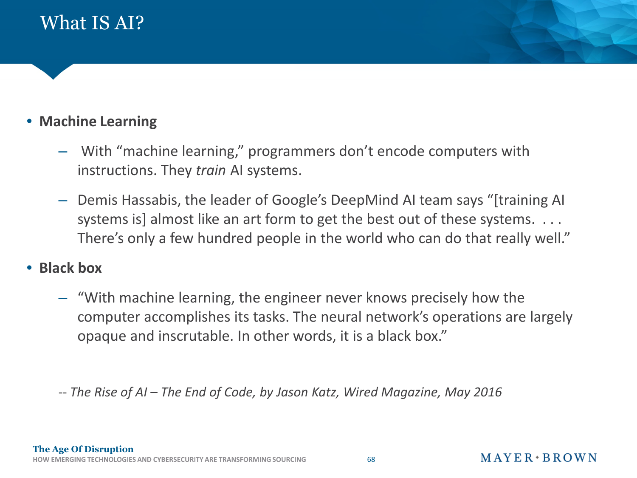

#### • **Machine Learning**

- With "machine learning," programmers don't encode computers with instructions. They *train* AI systems.
- Demis Hassabis, the leader of Google's DeepMind AI team says "[training AI systems is] almost like an art form to get the best out of these systems. ... There's only a few hundred people in the world who can do that really well."

#### • **Black box**

– "With machine learning, the engineer never knows precisely how the computer accomplishes its tasks. The neural network's operations are largely opaque and inscrutable. In other words, it is a black box."

-- *The Rise of AI – The End of Code, by Jason Katz, Wired Magazine, May 2016*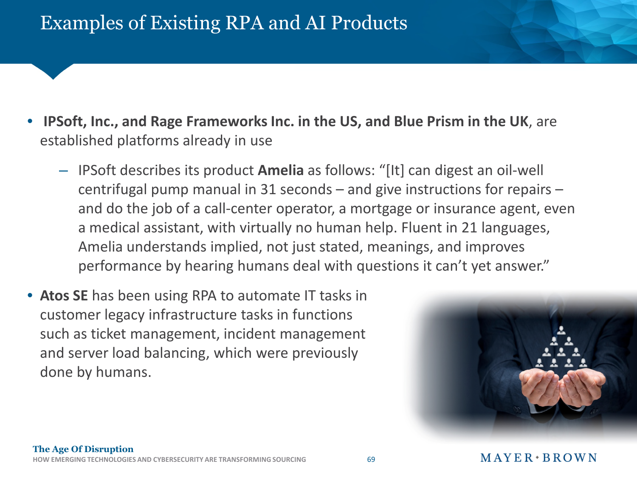## Examples of Existing RPA and AI Products

- **IPSoft, Inc., and Rage Frameworks Inc. in the US, and Blue Prism in the UK**, are established platforms already in use
	- IPSoft describes its product **Amelia** as follows: "[It] can digest an oil-well centrifugal pump manual in 31 seconds – and give instructions for repairs – and do the job of a call-center operator, a mortgage or insurance agent, even a medical assistant, with virtually no human help. Fluent in 21 languages, Amelia understands implied, not just stated, meanings, and improves performance by hearing humans deal with questions it can't yet answer."
- **Atos SE** has been using RPA to automate IT tasks in customer legacy infrastructure tasks in functions such as ticket management, incident management and server load balancing, which were previously done by humans.

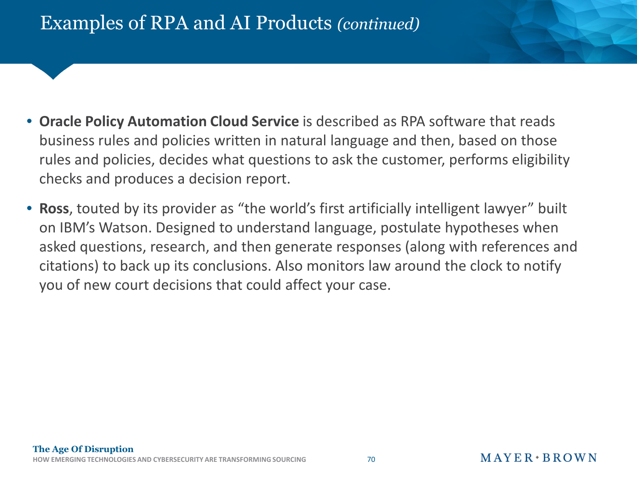## Examples of RPA and AI Products *(continued)*

- **Oracle Policy Automation Cloud Service** is described as RPA software that reads business rules and policies written in natural language and then, based on those rules and policies, decides what questions to ask the customer, performs eligibility checks and produces a decision report.
- **Ross**, touted by its provider as "the world's first artificially intelligent lawyer" built on IBM's Watson. Designed to understand language, postulate hypotheses when asked questions, research, and then generate responses (along with references and citations) to back up its conclusions. Also monitors law around the clock to notify you of new court decisions that could affect your case.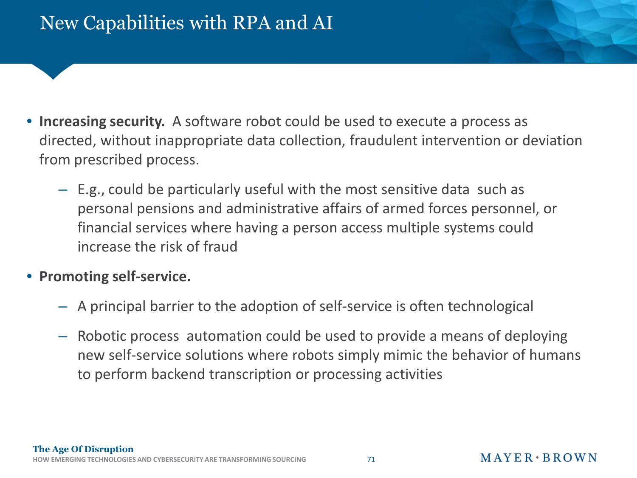- **Increasing security.** A software robot could be used to execute a process as directed, without inappropriate data collection, fraudulent intervention or deviation from prescribed process.
	- E.g., could be particularly useful with the most sensitive data such as personal pensions and administrative affairs of armed forces personnel, or financial services where having a person access multiple systems could increase the risk of fraud
- **Promoting self-service.**
	- A principal barrier to the adoption of self-service is often technological
	- Robotic process automation could be used to provide a means of deploying new self-service solutions where robots simply mimic the behavior of humans to perform backend transcription or processing activities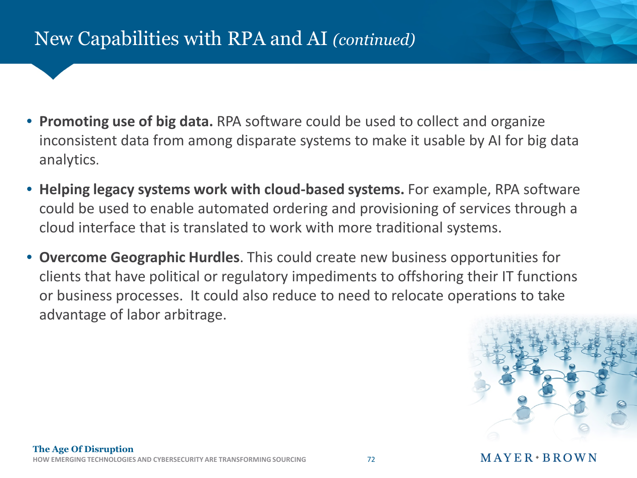## New Capabilities with RPA and AI *(continued)*

- **Promoting use of big data.** RPA software could be used to collect and organize inconsistent data from among disparate systems to make it usable by AI for big data analytics.
- **Helping legacy systems work with cloud-based systems.** For example, RPA software could be used to enable automated ordering and provisioning of services through a cloud interface that is translated to work with more traditional systems.
- **Overcome Geographic Hurdles**. This could create new business opportunities for clients that have political or regulatory impediments to offshoring their IT functions or business processes. It could also reduce to need to relocate operations to take advantage of labor arbitrage.

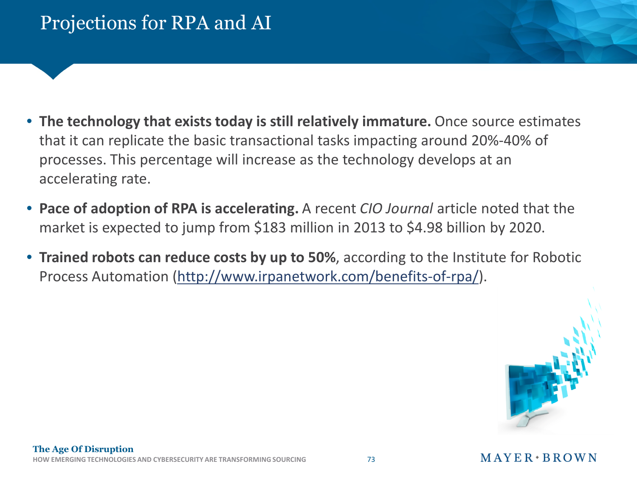- **The technology that exists today is still relatively immature.** Once source estimates that it can replicate the basic transactional tasks impacting around 20%-40% of processes. This percentage will increase as the technology develops at an accelerating rate.
- **Pace of adoption of RPA is accelerating.** A recent *CIO Journal* article noted that the market is expected to jump from \$183 million in 2013 to \$4.98 billion by 2020.
- **Trained robots can reduce costs by up to 50%**, according to the Institute for Robotic Process Automation (http://www.irpanetwork.com/benefits-of-rpa/).

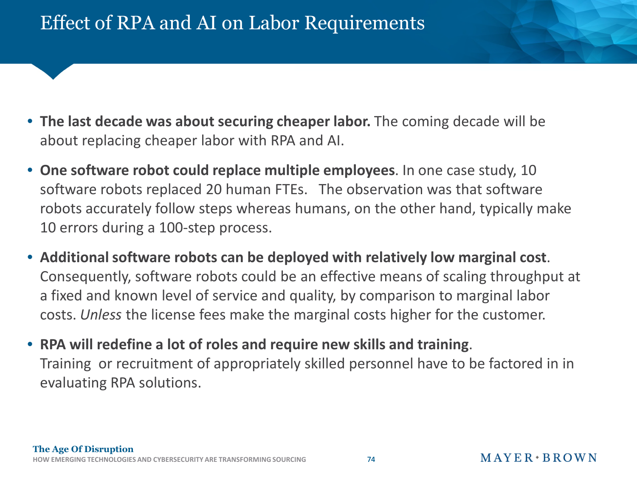- **The last decade was about securing cheaper labor.** The coming decade will be about replacing cheaper labor with RPA and AI.
- **One software robot could replace multiple employees**. In one case study, 10 software robots replaced 20 human FTEs. The observation was that software robots accurately follow steps whereas humans, on the other hand, typically make 10 errors during a 100-step process.
- **Additional software robots can be deployed with relatively low marginal cost**. Consequently, software robots could be an effective means of scaling throughput at a fixed and known level of service and quality, by comparison to marginal labor costs. *Unless* the license fees make the marginal costs higher for the customer.
- **RPA will redefine a lot of roles and require new skills and training**. Training or recruitment of appropriately skilled personnel have to be factored in in evaluating RPA solutions.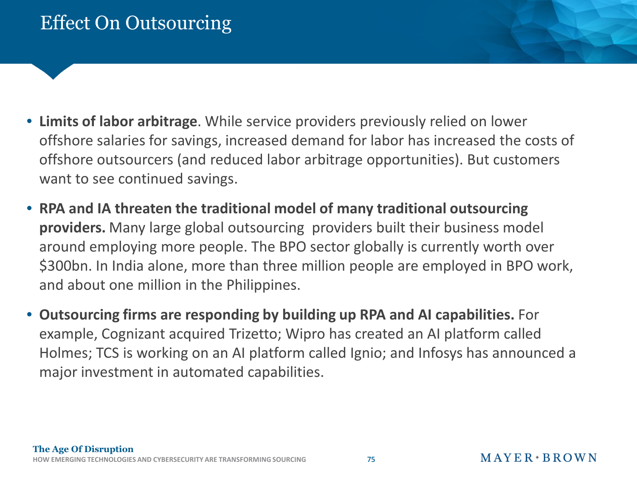- **Limits of labor arbitrage**. While service providers previously relied on lower offshore salaries for savings, increased demand for labor has increased the costs of offshore outsourcers (and reduced labor arbitrage opportunities). But customers want to see continued savings.
- **RPA and IA threaten the traditional model of many traditional outsourcing providers.** Many large global outsourcing providers built their business model around employing more people. The BPO sector globally is currently worth over \$300bn. In India alone, more than three million people are employed in BPO work, and about one million in the Philippines.
- **Outsourcing firms are responding by building up RPA and AI capabilities.** For example, Cognizant acquired Trizetto; Wipro has created an AI platform called Holmes; TCS is working on an AI platform called Ignio; and Infosys has announced a major investment in automated capabilities.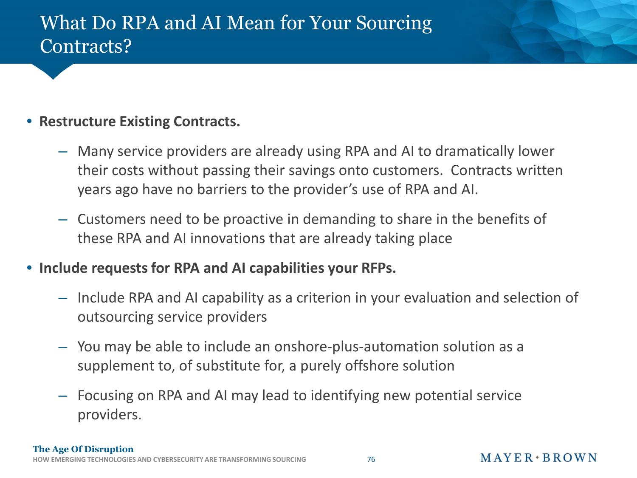## What Do RPA and AI Mean for Your Sourcing Contracts?

#### • **Restructure Existing Contracts.**

- Many service providers are already using RPA and AI to dramatically lower their costs without passing their savings onto customers. Contracts written years ago have no barriers to the provider's use of RPA and AI.
- Customers need to be proactive in demanding to share in the benefits of these RPA and AI innovations that are already taking place
- **Include requests for RPA and AI capabilities your RFPs.**
	- Include RPA and AI capability as a criterion in your evaluation and selection of outsourcing service providers
	- You may be able to include an onshore-plus-automation solution as a supplement to, of substitute for, a purely offshore solution
	- Focusing on RPA and AI may lead to identifying new potential service providers.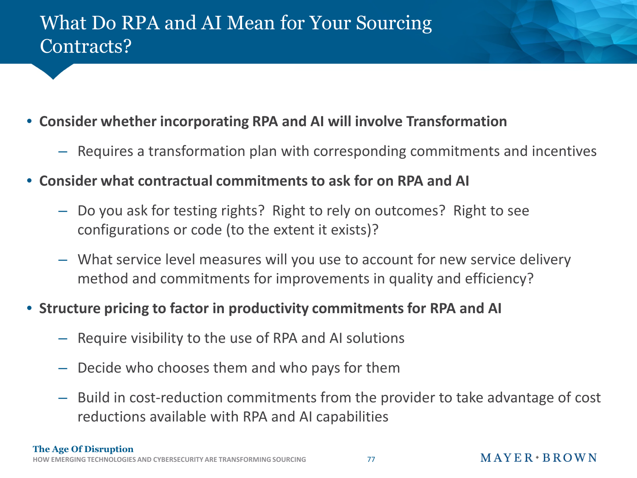## What Do RPA and AI Mean for Your Sourcing Contracts?

- **Consider whether incorporating RPA and AI will involve Transformation**
	- Requires a transformation plan with corresponding commitments and incentives
- **Consider what contractual commitments to ask for on RPA and AI**
	- Do you ask for testing rights? Right to rely on outcomes? Right to see configurations or code (to the extent it exists)?
	- What service level measures will you use to account for new service delivery method and commitments for improvements in quality and efficiency?

#### • **Structure pricing to factor in productivity commitments for RPA and AI**

- Require visibility to the use of RPA and AI solutions
- Decide who chooses them and who pays for them
- Build in cost-reduction commitments from the provider to take advantage of cost reductions available with RPA and AI capabilities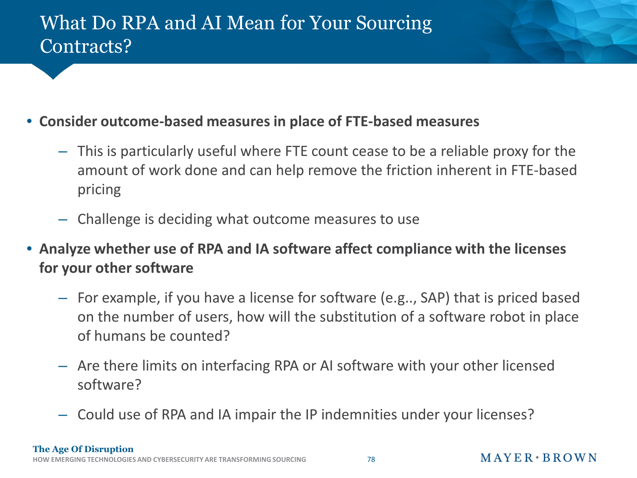## What Do RPA and AI Mean for Your Sourcing Contracts?

#### • **Consider outcome-based measures in place of FTE-based measures**

- This is particularly useful where FTE count cease to be a reliable proxy for the amount of work done and can help remove the friction inherent in FTE-based pricing
- Challenge is deciding what outcome measures to use
- **Analyze whether use of RPA and IA software affect compliance with the licenses for your other software**
	- For example, if you have a license for software (e.g.., SAP) that is priced based on the number of users, how will the substitution of a software robot in place of humans be counted?
	- Are there limits on interfacing RPA or AI software with your other licensed software?
	- Could use of RPA and IA impair the IP indemnities under your licenses?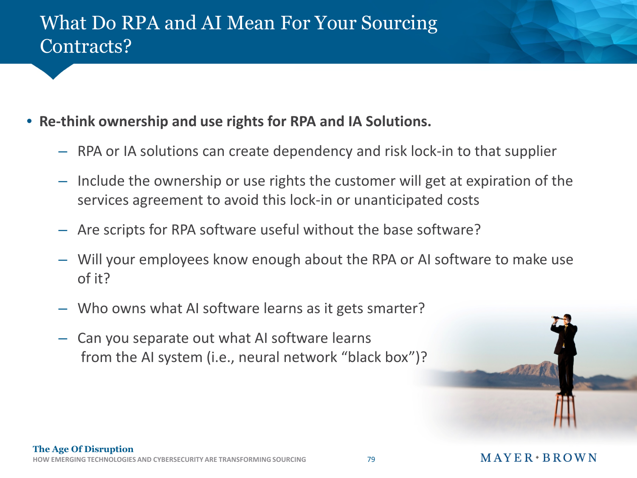## What Do RPA and AI Mean For Your Sourcing Contracts?

- **Re-think ownership and use rights for RPA and IA Solutions.**
	- RPA or IA solutions can create dependency and risk lock-in to that supplier
	- Include the ownership or use rights the customer will get at expiration of the services agreement to avoid this lock-in or unanticipated costs
	- Are scripts for RPA software useful without the base software?
	- Will your employees know enough about the RPA or AI software to make use of it?
	- Who owns what AI software learns as it gets smarter?
	- Can you separate out what AI software learns from the AI system (i.e., neural network "black box")?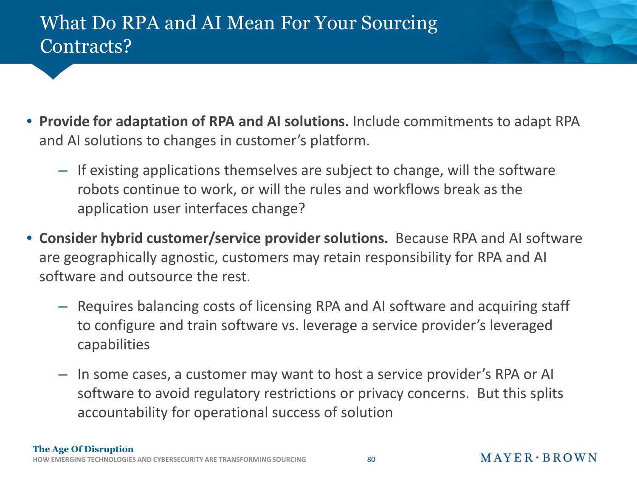## What Do RPA and AI Mean For Your Sourcing Contracts?

- **Provide for adaptation of RPA and AI solutions.** Include commitments to adapt RPA and AI solutions to changes in customer's platform.
	- If existing applications themselves are subject to change, will the software robots continue to work, or will the rules and workflows break as the application user interfaces change?
- **Consider hybrid customer/service provider solutions.** Because RPA and AI software are geographically agnostic, customers may retain responsibility for RPA and AI software and outsource the rest.
	- Requires balancing costs of licensing RPA and AI software and acquiring staff to configure and train software vs. leverage a service provider's leveraged capabilities
	- In some cases, a customer may want to host a service provider's RPA or AI software to avoid regulatory restrictions or privacy concerns. But this splits accountability for operational success of solution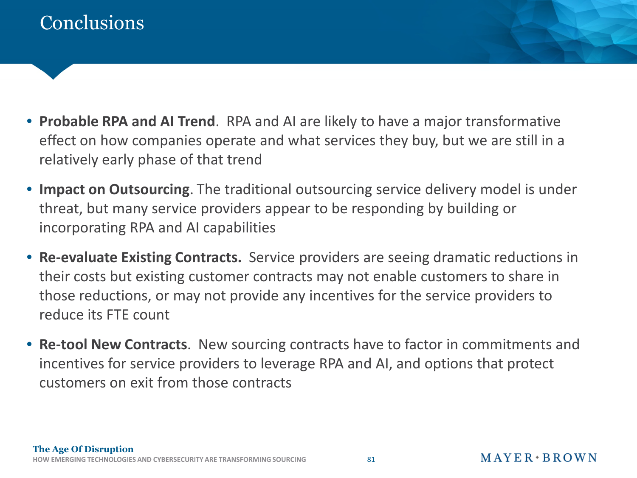## **Conclusions**

- **Probable RPA and AI Trend**. RPA and AI are likely to have a major transformative effect on how companies operate and what services they buy, but we are still in a relatively early phase of that trend
- **Impact on Outsourcing**. The traditional outsourcing service delivery model is under threat, but many service providers appear to be responding by building or incorporating RPA and AI capabilities
- **Re-evaluate Existing Contracts.** Service providers are seeing dramatic reductions in their costs but existing customer contracts may not enable customers to share in those reductions, or may not provide any incentives for the service providers to reduce its FTE count
- **Re-tool New Contracts**. New sourcing contracts have to factor in commitments and incentives for service providers to leverage RPA and AI, and options that protect customers on exit from those contracts